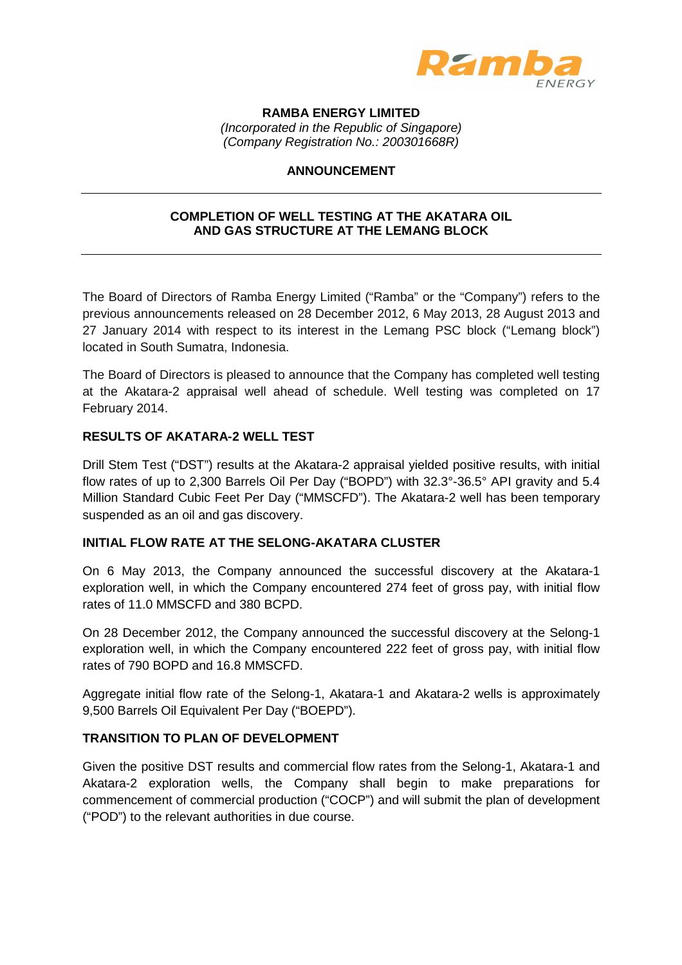

**RAMBA ENERGY LIMITED** 

(Incorporated in the Republic of Singapore) (Company Registration No.: 200301668R)

# **ANNOUNCEMENT**

# **COMPLETION OF WELL TESTING AT THE AKATARA OIL AND GAS STRUCTURE AT THE LEMANG BLOCK**

The Board of Directors of Ramba Energy Limited ("Ramba" or the "Company") refers to the previous announcements released on 28 December 2012, 6 May 2013, 28 August 2013 and 27 January 2014 with respect to its interest in the Lemang PSC block ("Lemang block") located in South Sumatra, Indonesia.

The Board of Directors is pleased to announce that the Company has completed well testing at the Akatara-2 appraisal well ahead of schedule. Well testing was completed on 17 February 2014.

# **RESULTS OF AKATARA-2 WELL TEST**

Drill Stem Test ("DST") results at the Akatara-2 appraisal yielded positive results, with initial flow rates of up to 2,300 Barrels Oil Per Day ("BOPD") with 32.3°-36.5° API gravity and 5.4 Million Standard Cubic Feet Per Day ("MMSCFD"). The Akatara-2 well has been temporary suspended as an oil and gas discovery.

## **INITIAL FLOW RATE AT THE SELONG-AKATARA CLUSTER**

On 6 May 2013, the Company announced the successful discovery at the Akatara-1 exploration well, in which the Company encountered 274 feet of gross pay, with initial flow rates of 11.0 MMSCFD and 380 BCPD.

On 28 December 2012, the Company announced the successful discovery at the Selong-1 exploration well, in which the Company encountered 222 feet of gross pay, with initial flow rates of 790 BOPD and 16.8 MMSCFD.

Aggregate initial flow rate of the Selong-1, Akatara-1 and Akatara-2 wells is approximately 9,500 Barrels Oil Equivalent Per Day ("BOEPD").

## **TRANSITION TO PLAN OF DEVELOPMENT**

Given the positive DST results and commercial flow rates from the Selong-1, Akatara-1 and Akatara-2 exploration wells, the Company shall begin to make preparations for commencement of commercial production ("COCP") and will submit the plan of development ("POD") to the relevant authorities in due course.